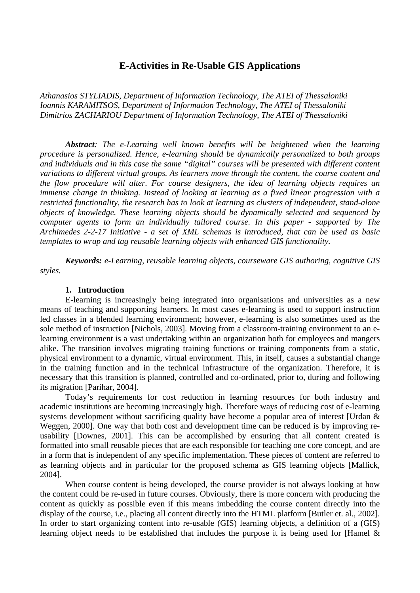# **E-Activities in Re-Usable GIS Applications**

*Athanasios STYLIADIS, Department of Information Technology, The ATEI of Thessaloniki Ioannis KARAMITSOS, Department of Information Technology, The ATEI of Thessaloniki Dimitrios ZACHARIOU Department of Information Technology, The ATEI of Thessaloniki* 

*Abstract: The e-Learning well known benefits will be heightened when the learning procedure is personalized. Hence, e-learning should be dynamically personalized to both groups and individuals and in this case the same "digital" courses will be presented with different content variations to different virtual groups. As learners move through the content, the course content and the flow procedure will alter. For course designers, the idea of learning objects requires an immense change in thinking. Instead of looking at learning as a fixed linear progression with a restricted functionality, the research has to look at learning as clusters of independent, stand-alone objects of knowledge. These learning objects should be dynamically selected and sequenced by computer agents to form an individually tailored course. In this paper - supported by The Archimedes 2-2-17 Initiative - a set of XML schemas is introduced, that can be used as basic templates to wrap and tag reusable learning objects with enhanced GIS functionality.* 

*Keywords: e-Learning, reusable learning objects, courseware GIS authoring, cognitive GIS styles.* 

#### **1. Introduction**

E-learning is increasingly being integrated into organisations and universities as a new means of teaching and supporting learners. In most cases e-learning is used to support instruction led classes in a blended learning environment; however, e-learning is also sometimes used as the sole method of instruction [Nichols, 2003]. Moving from a classroom-training environment to an elearning environment is a vast undertaking within an organization both for employees and mangers alike. The transition involves migrating training functions or training components from a static, physical environment to a dynamic, virtual environment. This, in itself, causes a substantial change in the training function and in the technical infrastructure of the organization. Therefore, it is necessary that this transition is planned, controlled and co-ordinated, prior to, during and following its migration [Parihar, 2004].

Today's requirements for cost reduction in learning resources for both industry and academic institutions are becoming increasingly high. Therefore ways of reducing cost of e-learning systems development without sacrificing quality have become a popular area of interest [Urdan & Weggen, 2000]. One way that both cost and development time can be reduced is by improving reusability [Downes, 2001]. This can be accomplished by ensuring that all content created is formatted into small reusable pieces that are each responsible for teaching one core concept, and are in a form that is independent of any specific implementation. These pieces of content are referred to as learning objects and in particular for the proposed schema as GIS learning objects [Mallick, 2004].

When course content is being developed, the course provider is not always looking at how the content could be re-used in future courses. Obviously, there is more concern with producing the content as quickly as possible even if this means imbedding the course content directly into the display of the course, i.e., placing all content directly into the HTML platform [Butler et. al., 2002]. In order to start organizing content into re-usable (GIS) learning objects, a definition of a (GIS) learning object needs to be established that includes the purpose it is being used for [Hamel &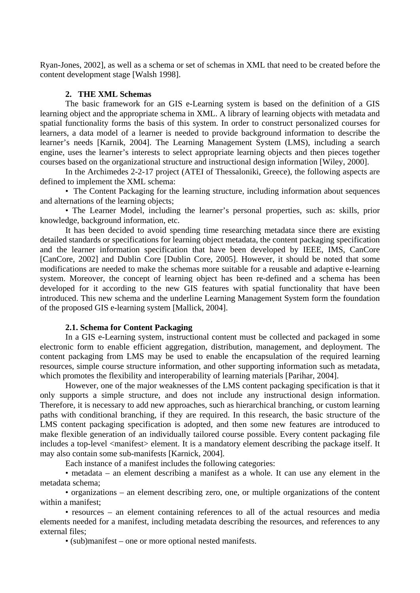Ryan-Jones, 2002], as well as a schema or set of schemas in XML that need to be created before the content development stage [Walsh 1998].

## **2. THE XML Schemas**

The basic framework for an GIS e-Learning system is based on the definition of a GIS learning object and the appropriate schema in XML. A library of learning objects with metadata and spatial functionality forms the basis of this system. In order to construct personalized courses for learners, a data model of a learner is needed to provide background information to describe the learner's needs [Karnik, 2004]. The Learning Management System (LMS), including a search engine, uses the learner's interests to select appropriate learning objects and then pieces together courses based on the organizational structure and instructional design information [Wiley, 2000].

In the Archimedes 2-2-17 project (ATEI of Thessaloniki, Greece), the following aspects are defined to implement the XML schema:

• The Content Packaging for the learning structure, including information about sequences and alternations of the learning objects;

• The Learner Model, including the learner's personal properties, such as: skills, prior knowledge, background information, etc.

It has been decided to avoid spending time researching metadata since there are existing detailed standards or specifications for learning object metadata, the content packaging specification and the learner information specification that have been developed by IEEE, IMS, CanCore [CanCore, 2002] and Dublin Core [Dublin Core, 2005]. However, it should be noted that some modifications are needed to make the schemas more suitable for a reusable and adaptive e-learning system. Moreover, the concept of learning object has been re-defined and a schema has been developed for it according to the new GIS features with spatial functionality that have been introduced. This new schema and the underline Learning Management System form the foundation of the proposed GIS e-learning system [Mallick, 2004].

## **2.1. Schema for Content Packaging**

In a GIS e-Learning system, instructional content must be collected and packaged in some electronic form to enable efficient aggregation, distribution, management, and deployment. The content packaging from LMS may be used to enable the encapsulation of the required learning resources, simple course structure information, and other supporting information such as metadata, which promotes the flexibility and interoperability of learning materials [Parihar, 2004].

However, one of the major weaknesses of the LMS content packaging specification is that it only supports a simple structure, and does not include any instructional design information. Therefore, it is necessary to add new approaches, such as hierarchical branching, or custom learning paths with conditional branching, if they are required. In this research, the basic structure of the LMS content packaging specification is adopted, and then some new features are introduced to make flexible generation of an individually tailored course possible. Every content packaging file includes a top-level <manifest> element. It is a mandatory element describing the package itself. It may also contain some sub-manifests [Karnick, 2004].

Each instance of a manifest includes the following categories:

• metadata – an element describing a manifest as a whole. It can use any element in the metadata schema;

• organizations – an element describing zero, one, or multiple organizations of the content within a manifest;

• resources – an element containing references to all of the actual resources and media elements needed for a manifest, including metadata describing the resources, and references to any external files;

• (sub)manifest – one or more optional nested manifests.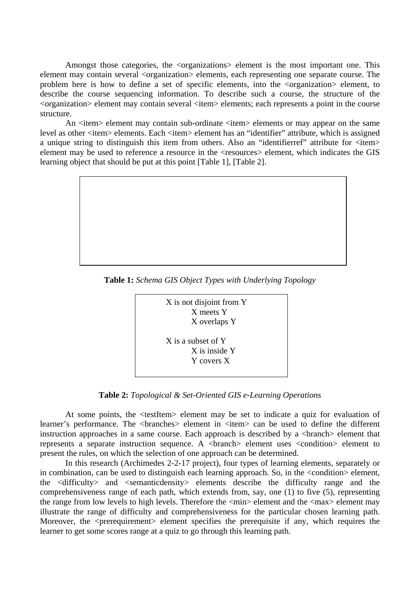Amongst those categories, the <organizations> element is the most important one. This element may contain several  $\langle$ organization $\rangle$  elements, each representing one separate course. The problem here is how to define a set of specific elements, into the <organization> element, to describe the course sequencing information. To describe such a course, the structure of the <organization> element may contain several <item> elements; each represents a point in the course structure.

An  $\lt$ item element may contain sub-ordinate  $\lt$ item elements or may appear on the same level as other  $\lt$ item elements. Each  $\lt$ item element has an "identifier" attribute, which is assigned a unique string to distinguish this item from others. Also an "identifierref" attribute for  $\langle$ item> element may be used to reference a resource in the <resources> element, which indicates the GIS learning object that should be put at this point [Table 1], [Table 2].



**Table 1:** *Schema GIS Object Types with Underlying Topology*



**Table 2:** *Topological & Set-Oriented GIS e-Learning Operations*

At some points, the <testItem> element may be set to indicate a quiz for evaluation of learner's performance. The <br/>branches> element in <item> can be used to define the different instruction approaches in a same course. Each approach is described by a  $\alpha$ -branch b element that represents a separate instruction sequence. A  $\langle$ branch $\rangle$  element uses  $\langle$ condition $\rangle$  element to present the rules, on which the selection of one approach can be determined.

In this research (Archimedes 2-2-17 project), four types of learning elements, separately or in combination, can be used to distinguish each learning approach. So, in the <condition> element, the <difficulty> and <semanticdensity> elements describe the difficulty range and the comprehensiveness range of each path, which extends from, say, one (1) to five (5), representing the range from low levels to high levels. Therefore the  $\langle \text{min} \rangle$  element and the  $\langle \text{max} \rangle$  element may illustrate the range of difficulty and comprehensiveness for the particular chosen learning path. Moreover, the  $\leq$ prerequirement $\geq$  element specifies the prerequisite if any, which requires the learner to get some scores range at a quiz to go through this learning path.